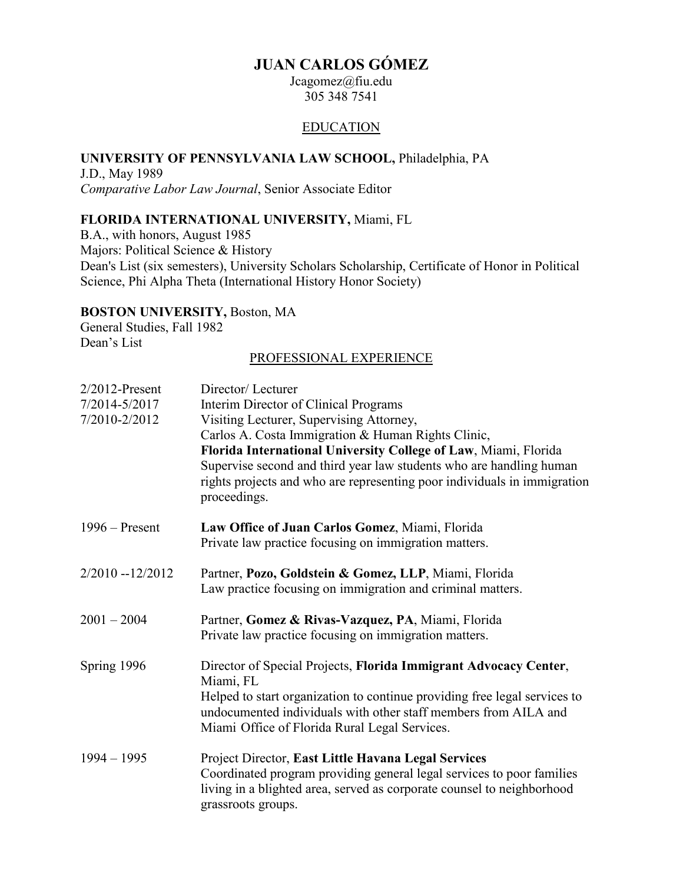# **JUAN CARLOS GÓMEZ**

Jcagomez@fiu.edu 305 348 7541

#### EDUCATION

#### **UNIVERSITY OF PENNSYLVANIA LAW SCHOOL,** Philadelphia, PA

J.D., May 1989 *Comparative Labor Law Journal*, Senior Associate Editor

## **FLORIDA INTERNATIONAL UNIVERSITY,** Miami, FL

B.A., with honors, August 1985 Majors: Political Science & History Dean's List (six semesters), University Scholars Scholarship, Certificate of Honor in Political Science, Phi Alpha Theta (International History Honor Society)

## **BOSTON UNIVERSITY,** Boston, MA

General Studies, Fall 1982 Dean's List

### PROFESSIONAL EXPERIENCE

| $2/2012$ -Present<br>7/2014-5/2017<br>7/2010-2/2012 | Director/Lecturer<br>Interim Director of Clinical Programs<br>Visiting Lecturer, Supervising Attorney,<br>Carlos A. Costa Immigration & Human Rights Clinic,<br>Florida International University College of Law, Miami, Florida<br>Supervise second and third year law students who are handling human<br>rights projects and who are representing poor individuals in immigration<br>proceedings. |
|-----------------------------------------------------|----------------------------------------------------------------------------------------------------------------------------------------------------------------------------------------------------------------------------------------------------------------------------------------------------------------------------------------------------------------------------------------------------|
| $1996 -$ Present                                    | Law Office of Juan Carlos Gomez, Miami, Florida<br>Private law practice focusing on immigration matters.                                                                                                                                                                                                                                                                                           |
| $2/2010 - 12/2012$                                  | Partner, Pozo, Goldstein & Gomez, LLP, Miami, Florida<br>Law practice focusing on immigration and criminal matters.                                                                                                                                                                                                                                                                                |
| $2001 - 2004$                                       | Partner, Gomez & Rivas-Vazquez, PA, Miami, Florida<br>Private law practice focusing on immigration matters.                                                                                                                                                                                                                                                                                        |
| Spring 1996                                         | Director of Special Projects, Florida Immigrant Advocacy Center,<br>Miami, FL<br>Helped to start organization to continue providing free legal services to<br>undocumented individuals with other staff members from AILA and<br>Miami Office of Florida Rural Legal Services.                                                                                                                     |
| $1994 - 1995$                                       | Project Director, East Little Havana Legal Services<br>Coordinated program providing general legal services to poor families<br>living in a blighted area, served as corporate counsel to neighborhood<br>grassroots groups.                                                                                                                                                                       |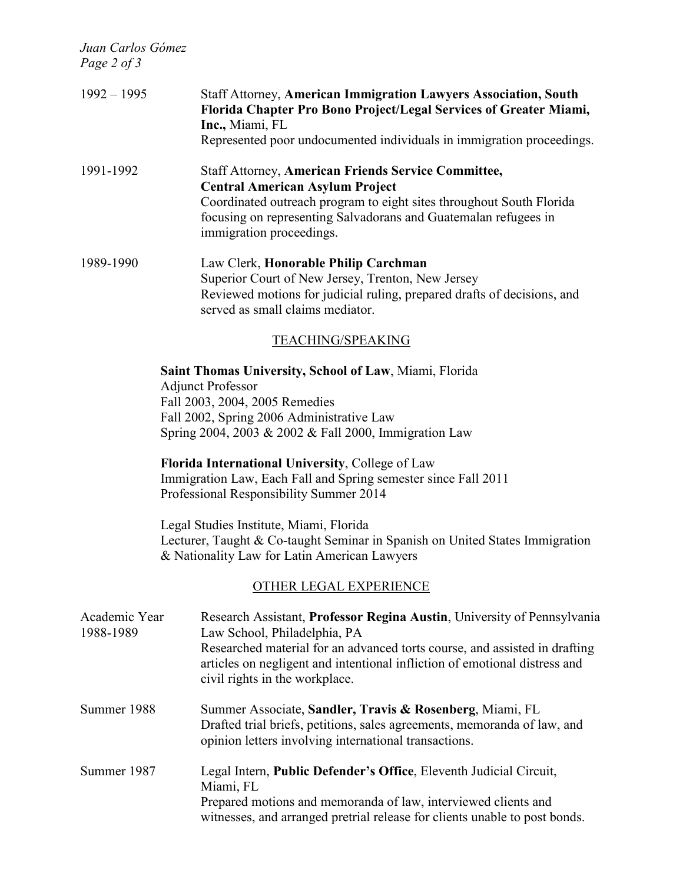*Juan Carlos Gómez*

| Page 2 of 3                |                                                                                                                                                                                                                                                                                                                                                                                                                                                                                                                                                                        |
|----------------------------|------------------------------------------------------------------------------------------------------------------------------------------------------------------------------------------------------------------------------------------------------------------------------------------------------------------------------------------------------------------------------------------------------------------------------------------------------------------------------------------------------------------------------------------------------------------------|
| $1992 - 1995$              | <b>Staff Attorney, American Immigration Lawyers Association, South</b><br>Florida Chapter Pro Bono Project/Legal Services of Greater Miami,<br>Inc., Miami, FL<br>Represented poor undocumented individuals in immigration proceedings.                                                                                                                                                                                                                                                                                                                                |
| 1991-1992                  | <b>Staff Attorney, American Friends Service Committee,</b><br><b>Central American Asylum Project</b><br>Coordinated outreach program to eight sites throughout South Florida<br>focusing on representing Salvadorans and Guatemalan refugees in<br>immigration proceedings.                                                                                                                                                                                                                                                                                            |
| 1989-1990                  | Law Clerk, Honorable Philip Carchman<br>Superior Court of New Jersey, Trenton, New Jersey<br>Reviewed motions for judicial ruling, prepared drafts of decisions, and<br>served as small claims mediator.                                                                                                                                                                                                                                                                                                                                                               |
|                            | TEACHING/SPEAKING                                                                                                                                                                                                                                                                                                                                                                                                                                                                                                                                                      |
|                            | Saint Thomas University, School of Law, Miami, Florida<br><b>Adjunct Professor</b><br>Fall 2003, 2004, 2005 Remedies<br>Fall 2002, Spring 2006 Administrative Law<br>Spring 2004, 2003 & 2002 & Fall 2000, Immigration Law<br>Florida International University, College of Law<br>Immigration Law, Each Fall and Spring semester since Fall 2011<br>Professional Responsibility Summer 2014<br>Legal Studies Institute, Miami, Florida<br>Lecturer, Taught & Co-taught Seminar in Spanish on United States Immigration<br>& Nationality Law for Latin American Lawyers |
|                            | OTHER LEGAL EXPERIENCE                                                                                                                                                                                                                                                                                                                                                                                                                                                                                                                                                 |
| Academic Year<br>1988-1989 | Research Assistant, Professor Regina Austin, University of Pennsylvania<br>Law School, Philadelphia, PA<br>Researched material for an advanced torts course, and assisted in drafting<br>articles on negligent and intentional infliction of emotional distress and<br>civil rights in the workplace.                                                                                                                                                                                                                                                                  |
| Summer 1988                | Summer Associate, Sandler, Travis & Rosenberg, Miami, FL                                                                                                                                                                                                                                                                                                                                                                                                                                                                                                               |

Drafted trial briefs, petitions, sales agreements, memoranda of law, and opinion letters involving international transactions. Summer 1987 Legal Intern, **Public Defender's Office**, Eleventh Judicial Circuit,

> Miami, FL Prepared motions and memoranda of law, interviewed clients and witnesses, and arranged pretrial release for clients unable to post bonds.